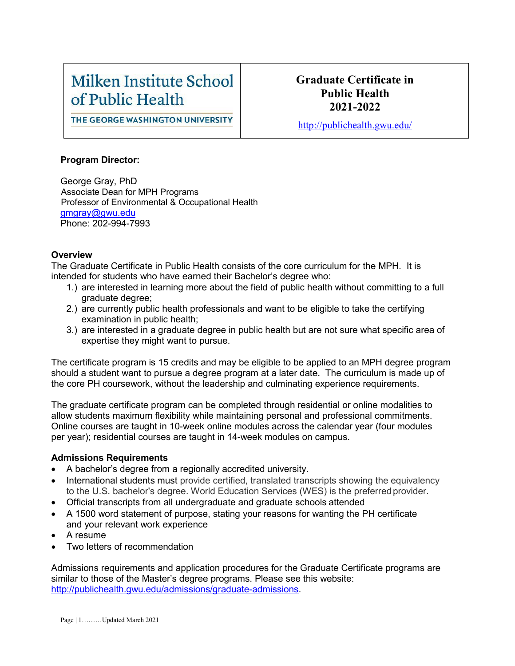# Milken Institute School of Public Health

### **Graduate Certificate in Public Health 2021-2022**

THE GEORGE WASHINGTON UNIVERSITY

<http://publichealth.gwu.edu/>

#### **Program Director:**

George Gray, PhD Associate Dean for MPH Programs Professor of Environmental & Occupational Health [gmgray@gwu.edu](mailto:gmgray@gwu.edu) Phone: 202-994-7993

#### **Overview**

The Graduate Certificate in Public Health consists of the core curriculum for the MPH. It is intended for students who have earned their Bachelor's degree who:

- 1.) are interested in learning more about the field of public health without committing to a full graduate degree;
- 2.) are currently public health professionals and want to be eligible to take the certifying examination in public health;
- 3.) are interested in a graduate degree in public health but are not sure what specific area of expertise they might want to pursue.

The certificate program is 15 credits and may be eligible to be applied to an MPH degree program should a student want to pursue a degree program at a later date. The curriculum is made up of the core PH coursework, without the leadership and culminating experience requirements.

The graduate certificate program can be completed through residential or online modalities to allow students maximum flexibility while maintaining personal and professional commitments. Online courses are taught in 10-week online modules across the calendar year (four modules per year); residential courses are taught in 14-week modules on campus.

#### **Admissions Requirements**

- A bachelor's degree from a regionally accredited university.
- International students must provide certified, translated transcripts showing the equivalency to the U.S. bachelor's degree. World Education Services (WES) is the preferredprovider.
- Official transcripts from all undergraduate and graduate schools attended
- A 1500 word statement of purpose, stating your reasons for wanting the PH certificate and your relevant work experience
- A resume
- Two letters of recommendation

Admissions requirements and application procedures for the Graduate Certificate programs are similar to those of the Master's degree programs. Please see this website: [http://publichealth.gwu.edu/admissions/graduate-admissions.](http://publichealth.gwu.edu/admissions/graduate-admissions)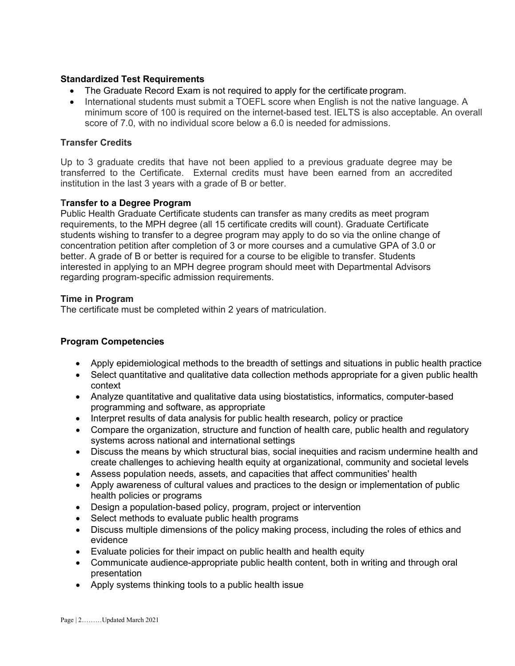#### **Standardized Test Requirements**

- The Graduate Record Exam is not required to apply for the certificate program.
- International students must submit a TOEFL score when English is not the native language. A minimum score of 100 is required on the internet-based test. IELTS is also acceptable. An overall score of 7.0, with no individual score below a 6.0 is needed for admissions.

#### **Transfer Credits**

Up to 3 graduate credits that have not been applied to a previous graduate degree may be transferred to the Certificate. External credits must have been earned from an accredited institution in the last 3 years with a grade of B or better.

#### **Transfer to a Degree Program**

Public Health Graduate Certificate students can transfer as many credits as meet program requirements, to the MPH degree (all 15 certificate credits will count). Graduate Certificate students wishing to transfer to a degree program may apply to do so via the online change of concentration petition after completion of 3 or more courses and a cumulative GPA of 3.0 or better. A grade of B or better is required for a course to be eligible to transfer. Students interested in applying to an MPH degree program should meet with Departmental Advisors regarding program-specific admission requirements.

#### **Time in Program**

The certificate must be completed within 2 years of matriculation.

#### **Program Competencies**

- Apply epidemiological methods to the breadth of settings and situations in public health practice
- Select quantitative and qualitative data collection methods appropriate for a given public health context
- Analyze quantitative and qualitative data using biostatistics, informatics, computer-based programming and software, as appropriate
- Interpret results of data analysis for public health research, policy or practice
- Compare the organization, structure and function of health care, public health and regulatory systems across national and international settings
- Discuss the means by which structural bias, social inequities and racism undermine health and create challenges to achieving health equity at organizational, community and societal levels
- Assess population needs, assets, and capacities that affect communities' health
- Apply awareness of cultural values and practices to the design or implementation of public health policies or programs
- Design a population-based policy, program, project or intervention
- Select methods to evaluate public health programs
- Discuss multiple dimensions of the policy making process, including the roles of ethics and evidence
- Evaluate policies for their impact on public health and health equity
- Communicate audience-appropriate public health content, both in writing and through oral presentation
- Apply systems thinking tools to a public health issue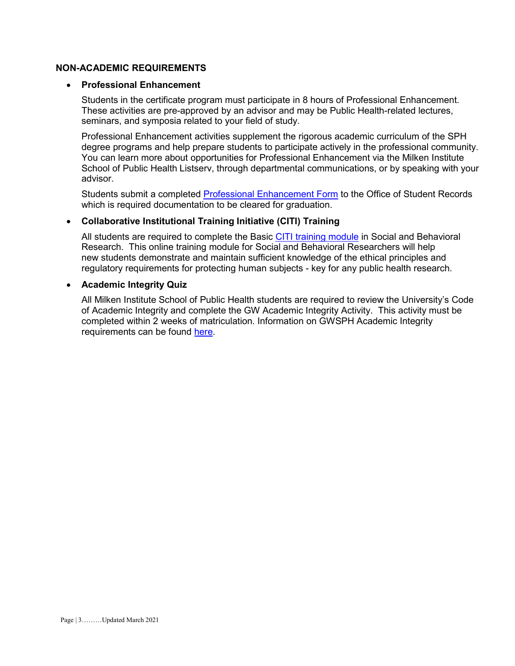#### **NON-ACADEMIC REQUIREMENTS**

#### • **Professional Enhancement**

Students in the certificate program must participate in 8 hours of Professional Enhancement. These activities are pre-approved by an advisor and may be Public Health-related lectures, seminars, and symposia related to your field of study.

Professional Enhancement activities supplement the rigorous academic curriculum of the SPH degree programs and help prepare students to participate actively in the professional community. You can learn more about opportunities for Professional Enhancement via the Milken Institute School of Public Health Listserv, through departmental communications, or by speaking with your advisor.

Students submit a completed [Professional Enhancement Form](http://publichealth.gwu.edu/academics/forms) to the Office of Student Records which is required documentation to be cleared for graduation.

#### • **Collaborative Institutional Training Initiative (CITI) Training**

All students are required to complete the Basic [CITI training module](http://www.citiprogram.org/) in Social and Behavioral Research. This online training module for Social and Behavioral Researchers will help new students demonstrate and maintain sufficient knowledge of the ethical principles and regulatory requirements for protecting human subjects - key for any public health research.

#### • **Academic Integrity Quiz**

All Milken Institute School of Public Health students are required to review the University's Code of Academic Integrity and complete the GW Academic Integrity Activity. This activity must be completed within 2 weeks of matriculation. Information on GWSPH Academic Integrity requirements can be found [here.](http://publichealth.gwu.edu/integrity)